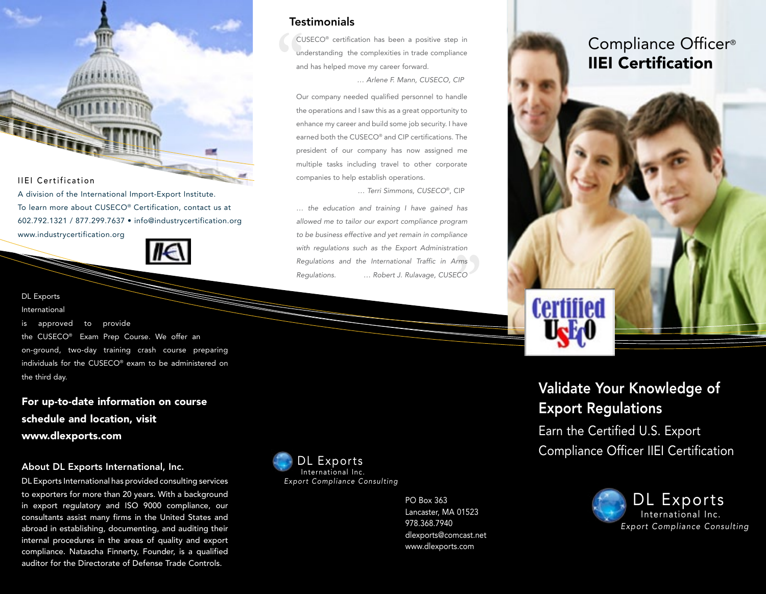IIEI Certification

A division of the International Import-Export Institute. To learn more about CUSECO® Certification, contact us at 602.792.1321 / 877.299.7637 • [info@industrycertification.org](mailto:info@industrycertification.org)

[www.industrycertification.org](http://www.industrycertification.org)



#### DL Exports

International

is approved to provide the CUSECO® Exam Prep Course. We offer an on-ground, two-day training crash course preparing individuals for the CUSECO® exam to be administered on the third day.

For up-to-date information on course schedule and location, visit www.dlexports.com

#### About DL Exports International, Inc.

DL Exports International has provided consulting services to exporters for more than 20 years. With a background in export regulatory and ISO 9000 compliance, our consultants assist many firms in the United States and abroad in establishing, documenting, and auditing their internal procedures in the areas of quality and export compliance. Natascha Finnerty, Founder, is a qualified auditor for the Directorate of Defense Trade Controls.

#### **Testimonials**

**CL**<br>
un<br>
an CUSECO® certification has been a positive step in understanding the complexities in trade compliance and has helped move my career forward. *… Arlene F. Mann, CUSECO, CIP*

Our company needed qualified personnel to handle the operations and I saw this as a great opportunity to enhance my career and build some job security. I have earned both the CUSECO® and CIP certifications. The president of our company has now assigned me multiple tasks including travel to other corporate companies to help establish operations.

 *… Terri Simmons, CUSECO*®, CIP

*… the education and training I have gained has allowed me to tailor our export compliance program to be business effective and yet remain in compliance with regulations such as the Export Administration Regulations and the International Traffic in Arms Regulations. … Robert J. Rulavage, CUSECO* **"**<br>"<br>"<br>"<br><br><br><br><br><br><br><br><br><br><br><br><br><br><br><br><br><br><br><br><br><br><br><br>



PO Box 363 Lancaster, MA 01523 978.368.7940 [dlexports@comcast.net](mailto:dlexports@comcast.net) [www.dlexports.com](http://www.dlexports.com)

## Compliance Officer® IIEI Certification



**Certified** 

Earn the Certified U.S. Export Compliance Officer IIEI Certification